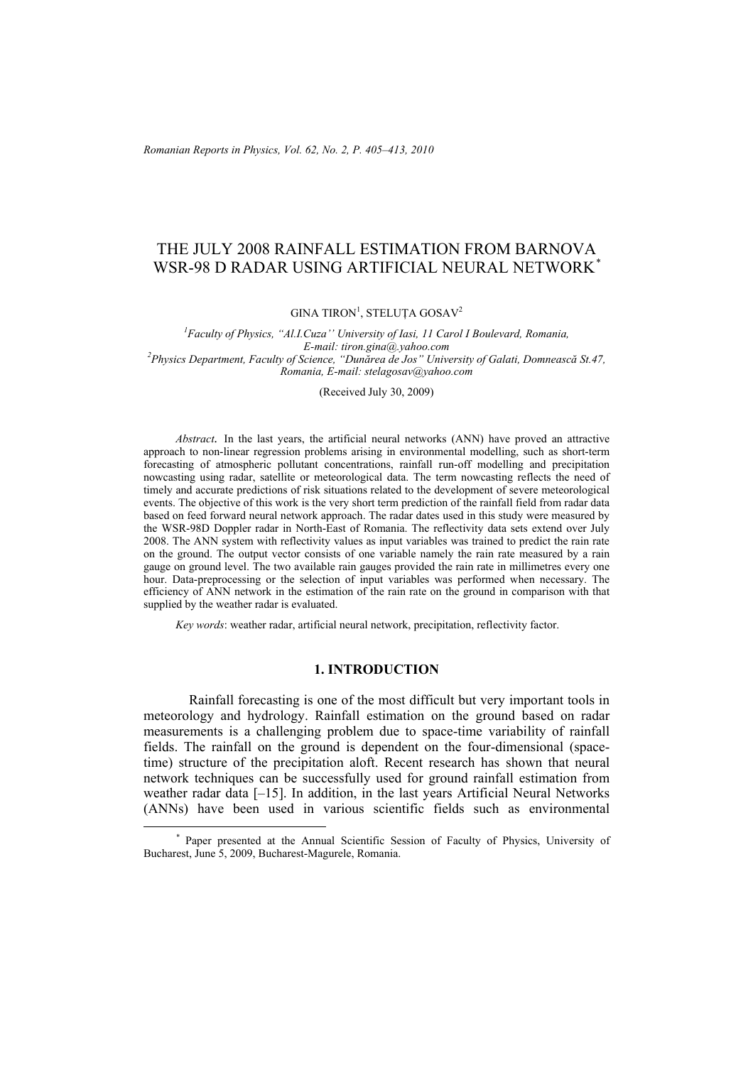*Romanian Reports in Physics, Vol. 62, No. 2, P. 405–413, 2010*

# THE JULY 2008 RAINFALL ESTIMATION FROM BARNOVA WSR-98 D RADAR USING ARTIFICIAL NEURAL NETWORK*\**

GINA TIRON<sup>1</sup>, STELUȚA GOSAV<sup>2</sup>

<sup>1</sup> Faculty of Physics, "Al.I.Cuza'' University of Iasi, 11 Carol I Boulevard, Romania, *E-mail: tiron.gina@.yahoo.com <sup>2</sup> Physics Department, Faculty of Science, "Dunărea de Jos" University of Galati, Domnească St.47, Romania, E-mail: stelagosav@yahoo.com* 

(Received July 30, 2009)

*Abstract.* In the last years, the artificial neural networks (ANN) have proved an attractive approach to non-linear regression problems arising in environmental modelling, such as short-term forecasting of atmospheric pollutant concentrations, rainfall run-off modelling and precipitation nowcasting using radar, satellite or meteorological data. The term nowcasting reflects the need of timely and accurate predictions of risk situations related to the development of severe meteorological events. The objective of this work is the very short term prediction of the rainfall field from radar data based on feed forward neural network approach. The radar dates used in this study were measured by the WSR-98D Doppler radar in North-East of Romania. The reflectivity data sets extend over July 2008. The ANN system with reflectivity values as input variables was trained to predict the rain rate on the ground. The output vector consists of one variable namely the rain rate measured by a rain gauge on ground level. The two available rain gauges provided the rain rate in millimetres every one hour. Data-preprocessing or the selection of input variables was performed when necessary. The efficiency of ANN network in the estimation of the rain rate on the ground in comparison with that supplied by the weather radar is evaluated.

*Key words*: weather radar, artificial neural network, precipitation, reflectivity factor.

### **1. INTRODUCTION**

Rainfall forecasting is one of the most difficult but very important tools in meteorology and hydrology. Rainfall estimation on the ground based on radar measurements is a challenging problem due to space-time variability of rainfall fields. The rainfall on the ground is dependent on the four-dimensional (spacetime) structure of the precipitation aloft. Recent research has shown that neural network techniques can be successfully used for ground rainfall estimation from weather radar data [–15]. In addition, in the last years Artificial Neural Networks (ANNs) have been used in various scientific fields such as environmental

*\** Paper presented at the Annual Scientific Session of Faculty of Physics, University of Bucharest, June 5, 2009, Bucharest-Magurele, Romania.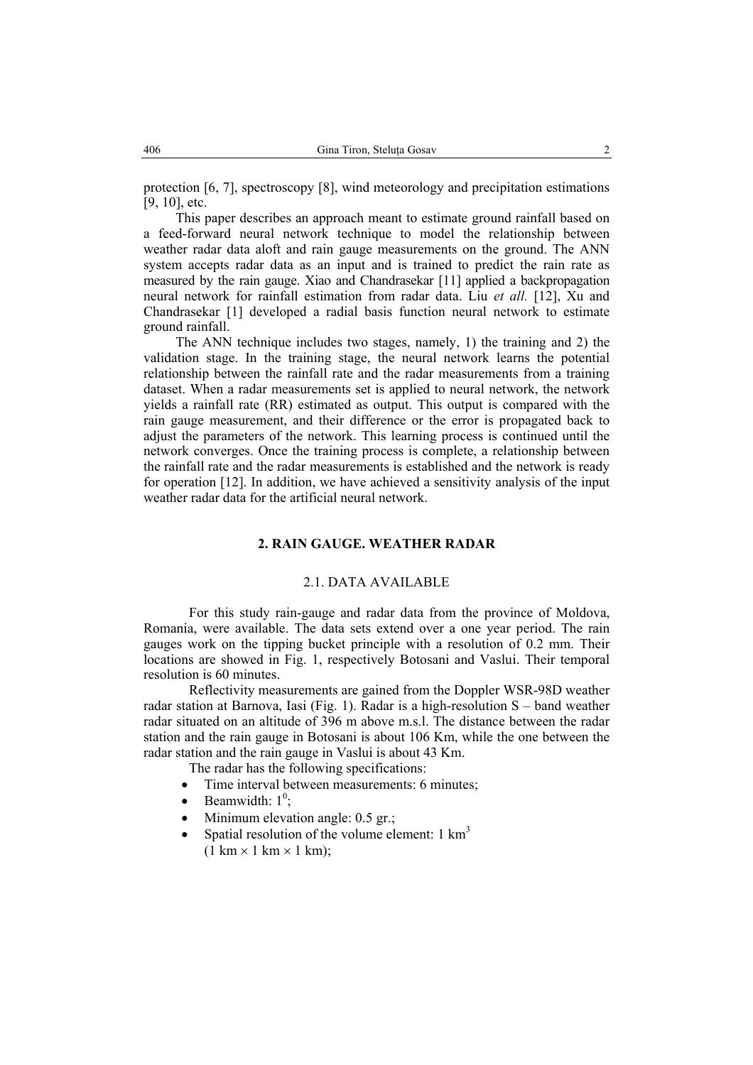protection [6, 7], spectroscopy [8], wind meteorology and precipitation estimations [9, 10], etc.

This paper describes an approach meant to estimate ground rainfall based on a feed-forward neural network technique to model the relationship between weather radar data aloft and rain gauge measurements on the ground. The ANN system accepts radar data as an input and is trained to predict the rain rate as measured by the rain gauge. Xiao and Chandrasekar [11] applied a backpropagation neural network for rainfall estimation from radar data. Liu *et all.* [12], Xu and Chandrasekar [1] developed a radial basis function neural network to estimate ground rainfall.

The ANN technique includes two stages, namely, 1) the training and 2) the validation stage. In the training stage, the neural network learns the potential relationship between the rainfall rate and the radar measurements from a training dataset. When a radar measurements set is applied to neural network, the network yields a rainfall rate (RR) estimated as output. This output is compared with the rain gauge measurement, and their difference or the error is propagated back to adjust the parameters of the network. This learning process is continued until the network converges. Once the training process is complete, a relationship between the rainfall rate and the radar measurements is established and the network is ready for operation [12]. In addition, we have achieved a sensitivity analysis of the input weather radar data for the artificial neural network.

## **2. RAIN GAUGE. WEATHER RADAR**

### 2.1. DATA AVAILABLE

For this study rain-gauge and radar data from the province of Moldova, Romania, were available. The data sets extend over a one year period. The rain gauges work on the tipping bucket principle with a resolution of 0.2 mm. Their locations are showed in Fig. 1, respectively Botosani and Vaslui. Their temporal resolution is 60 minutes.

Reflectivity measurements are gained from the Doppler WSR-98D weather radar station at Barnova, Iasi (Fig. 1). Radar is a high-resolution S – band weather radar situated on an altitude of 396 m above m.s.l. The distance between the radar station and the rain gauge in Botosani is about 106 Km, while the one between the radar station and the rain gauge in Vaslui is about 43 Km.

The radar has the following specifications:

- Time interval between measurements: 6 minutes:
- Beamwidth:  $1^0$ ;
- Minimum elevation angle: 0.5 gr.;
- Spatial resolution of the volume element:  $1 \text{ km}^3$  $(1 \text{ km} \times 1 \text{ km} \times 1 \text{ km})$ ;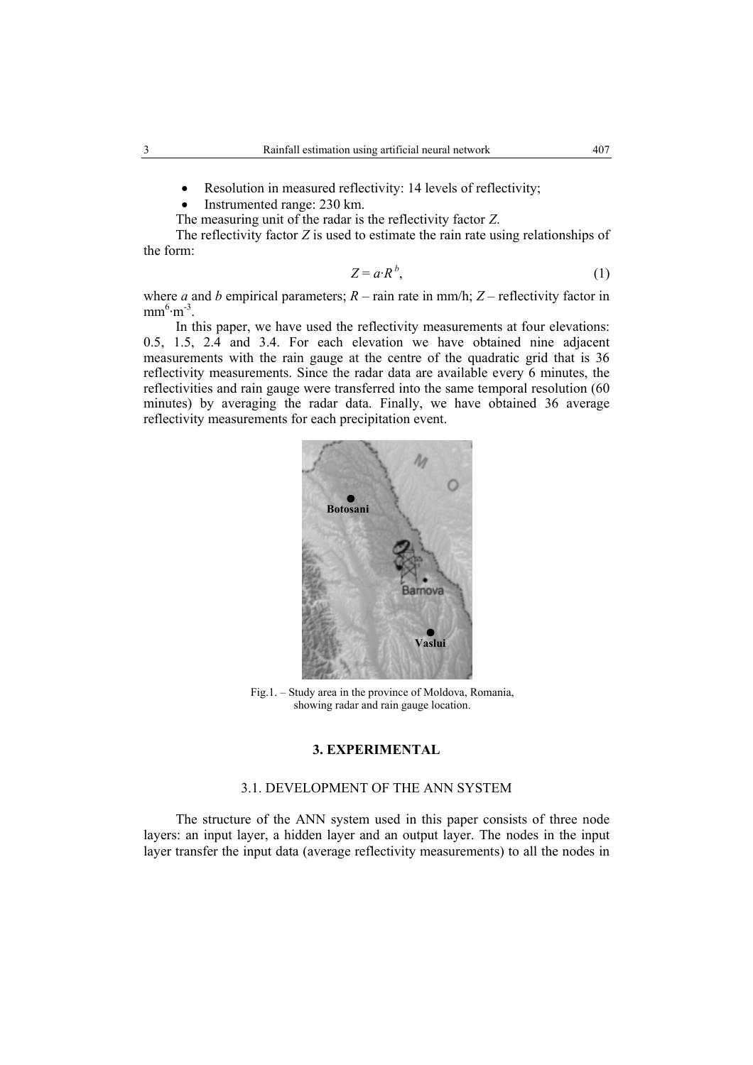- Resolution in measured reflectivity: 14 levels of reflectivity;
- Instrumented range: 230 km.
- The measuring unit of the radar is the reflectivity factor *Z*.

The reflectivity factor *Z* is used to estimate the rain rate using relationships of the form:

$$
Z = a \cdot R^b, \tag{1}
$$

where *a* and *b* empirical parameters;  $R - \text{rain rate in mm/h}$ ;  $Z - \text{reflectivity factor in}$  $mm^6·m^{-3}$ .

In this paper, we have used the reflectivity measurements at four elevations: 0.5, 1.5, 2.4 and 3.4. For each elevation we have obtained nine adjacent measurements with the rain gauge at the centre of the quadratic grid that is 36 reflectivity measurements. Since the radar data are available every 6 minutes, the reflectivities and rain gauge were transferred into the same temporal resolution (60 minutes) by averaging the radar data. Finally, we have obtained 36 average reflectivity measurements for each precipitation event.



Fig.1. – Study area in the province of Moldova, Romania, showing radar and rain gauge location.

## **3. EXPERIMENTAL**

# 3.1. DEVELOPMENT OF THE ANN SYSTEM

The structure of the ANN system used in this paper consists of three node layers: an input layer, a hidden layer and an output layer. The nodes in the input layer transfer the input data (average reflectivity measurements) to all the nodes in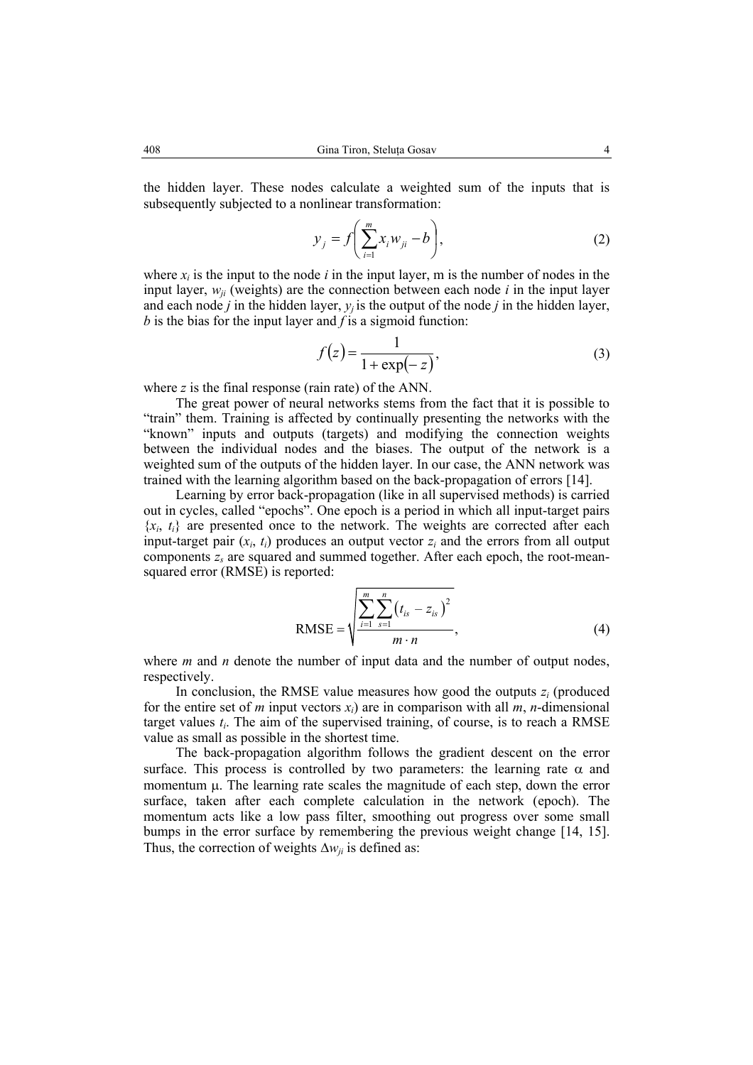the hidden layer. These nodes calculate a weighted sum of the inputs that is subsequently subjected to a nonlinear transformation:

$$
y_j = f\left(\sum_{i=1}^m x_i w_{ji} - b\right),\tag{2}
$$

where  $x_i$  is the input to the node  $i$  in the input layer, m is the number of nodes in the input layer,  $w_{ii}$  (weights) are the connection between each node  $i$  in the input layer and each node *j* in the hidden layer,  $y_j$  is the output of the node *j* in the hidden layer, *b* is the bias for the input layer and *f* is a sigmoid function:

$$
f(z) = \frac{1}{1 + \exp(-z)},
$$
\n(3)

where *z* is the final response (rain rate) of the ANN.

The great power of neural networks stems from the fact that it is possible to "train" them. Training is affected by continually presenting the networks with the "known" inputs and outputs (targets) and modifying the connection weights between the individual nodes and the biases. The output of the network is a weighted sum of the outputs of the hidden layer. In our case, the ANN network was trained with the learning algorithm based on the back-propagation of errors [14].

Learning by error back-propagation (like in all supervised methods) is carried out in cycles, called "epochs". One epoch is a period in which all input-target pairs  ${x_i, t_i}$  are presented once to the network. The weights are corrected after each input-target pair  $(x_i, t_i)$  produces an output vector  $z_i$  and the errors from all output components *zs* are squared and summed together. After each epoch, the root-meansquared error (RMSE) is reported:

RMSE = 
$$
\sqrt{\frac{\sum_{i=1}^{m} \sum_{s=1}^{n} (t_{is} - z_{is})^2}{m \cdot n}},
$$
 (4)

where *m* and *n* denote the number of input data and the number of output nodes, respectively.

In conclusion, the RMSE value measures how good the outputs *zi* (produced for the entire set of *m* input vectors  $x_i$ ) are in comparison with all *m*, *n*-dimensional target values  $t_i$ . The aim of the supervised training, of course, is to reach a RMSE value as small as possible in the shortest time.

The back-propagation algorithm follows the gradient descent on the error surface. This process is controlled by two parameters: the learning rate  $\alpha$  and momentum  $\mu$ . The learning rate scales the magnitude of each step, down the error surface, taken after each complete calculation in the network (epoch). The momentum acts like a low pass filter, smoothing out progress over some small bumps in the error surface by remembering the previous weight change [14, 15]. Thus, the correction of weights  $\Delta w_{ii}$  is defined as: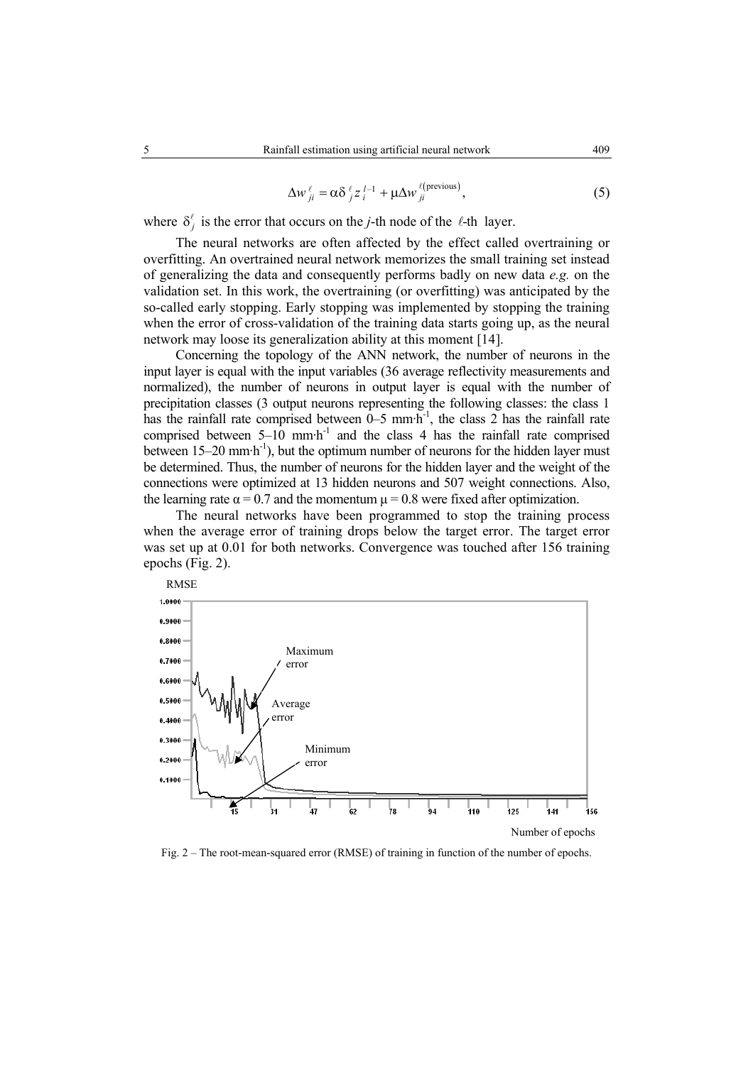$$
\Delta w_{ji}^{\ell} = \alpha \delta_{j}^{\ell} z_{i}^{l-1} + \mu \Delta w_{ji}^{\ell(\text{previous})},\tag{5}
$$

where  $\delta_i^{\ell}$  is the error that occurs on the *j*-th node of the  $\ell$ -th layer.

The neural networks are often affected by the effect called overtraining or overfitting. An overtrained neural network memorizes the small training set instead of generalizing the data and consequently performs badly on new data *e.g.* on the validation set. In this work, the overtraining (or overfitting) was anticipated by the so-called early stopping. Early stopping was implemented by stopping the training when the error of cross-validation of the training data starts going up, as the neural network may loose its generalization ability at this moment [14].

Concerning the topology of the ANN network, the number of neurons in the input layer is equal with the input variables (36 average reflectivity measurements and normalized), the number of neurons in output layer is equal with the number of precipitation classes (3 output neurons representing the following classes: the class 1 has the rainfall rate comprised between  $0-5$  mm·h<sup>-1</sup>, the class 2 has the rainfall rate comprised between  $5-10$  mm·h<sup>-1</sup> and the class 4 has the rainfall rate comprised between  $15-20$  mm·h<sup>-1</sup>), but the optimum number of neurons for the hidden layer must be determined. Thus, the number of neurons for the hidden layer and the weight of the connections were optimized at 13 hidden neurons and 507 weight connections. Also, the learning rate  $\alpha = 0.7$  and the momentum  $\mu = 0.8$  were fixed after optimization.

The neural networks have been programmed to stop the training process when the average error of training drops below the target error. The target error was set up at 0.01 for both networks. Convergence was touched after 156 training epochs (Fig. 2).



Fig. 2 – The root-mean-squared error (RMSE) of training in function of the number of epochs.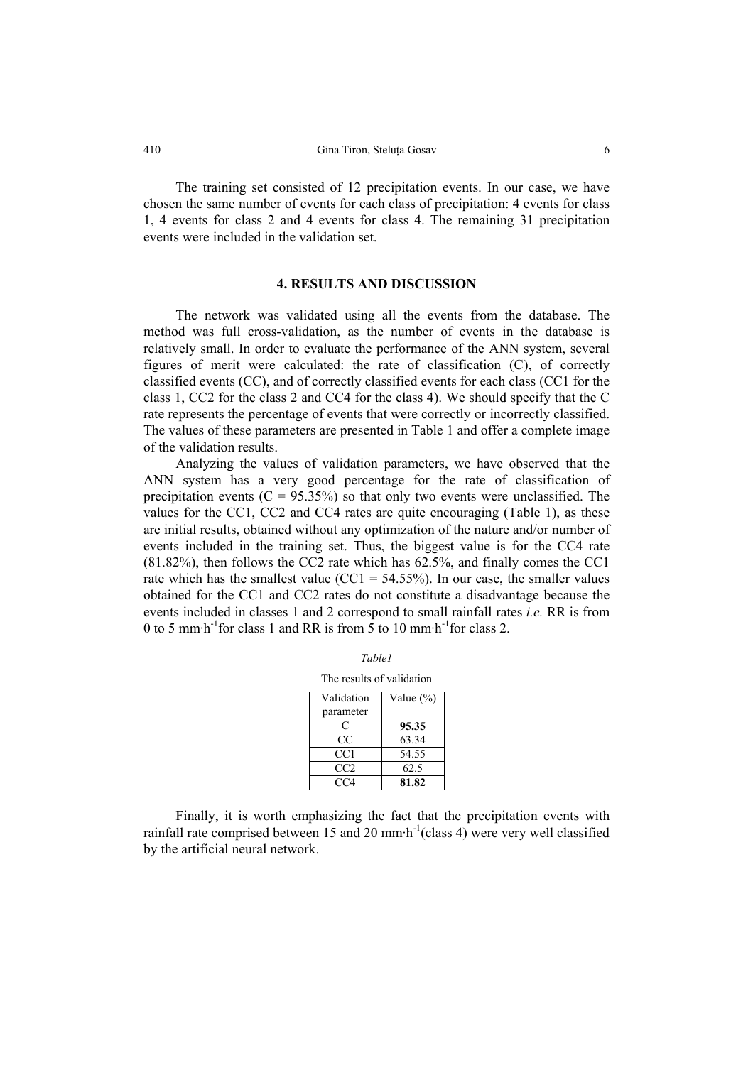The training set consisted of 12 precipitation events. In our case, we have chosen the same number of events for each class of precipitation: 4 events for class 1, 4 events for class 2 and 4 events for class 4. The remaining 31 precipitation events were included in the validation set.

### **4. RESULTS AND DISCUSSION**

The network was validated using all the events from the database. The method was full cross-validation, as the number of events in the database is relatively small. In order to evaluate the performance of the ANN system, several figures of merit were calculated: the rate of classification (C), of correctly classified events (CC), and of correctly classified events for each class (CC1 for the class 1, CC2 for the class 2 and CC4 for the class 4). We should specify that the C rate represents the percentage of events that were correctly or incorrectly classified. The values of these parameters are presented in Table 1 and offer a complete image of the validation results.

Analyzing the values of validation parameters, we have observed that the ANN system has a very good percentage for the rate of classification of precipitation events ( $C = 95.35\%$ ) so that only two events were unclassified. The values for the CC1, CC2 and CC4 rates are quite encouraging (Table 1), as these are initial results, obtained without any optimization of the nature and/or number of events included in the training set. Thus, the biggest value is for the CC4 rate (81.82%), then follows the CC2 rate which has 62.5%, and finally comes the CC1 rate which has the smallest value ( $CC1 = 54.55\%$ ). In our case, the smaller values obtained for the CC1 and CC2 rates do not constitute a disadvantage because the events included in classes 1 and 2 correspond to small rainfall rates *i.e.* RR is from 0 to 5 mm $\cdot$ h<sup>-1</sup>for class 1 and RR is from 5 to 10 mm $\cdot$ h<sup>-1</sup>for class 2.

| The results of validation |  |
|---------------------------|--|
|---------------------------|--|

| Validation      | Value $(\%)$ |
|-----------------|--------------|
| parameter       |              |
| C               | 95.35        |
| CC              | 63.34        |
| CC1             | 54.55        |
| CC <sub>2</sub> | 62.5         |
| CC4             | 81.82        |

Finally, it is worth emphasizing the fact that the precipitation events with rainfall rate comprised between 15 and 20 mm $\cdot$ h<sup>-1</sup>(class 4) were very well classified by the artificial neural network.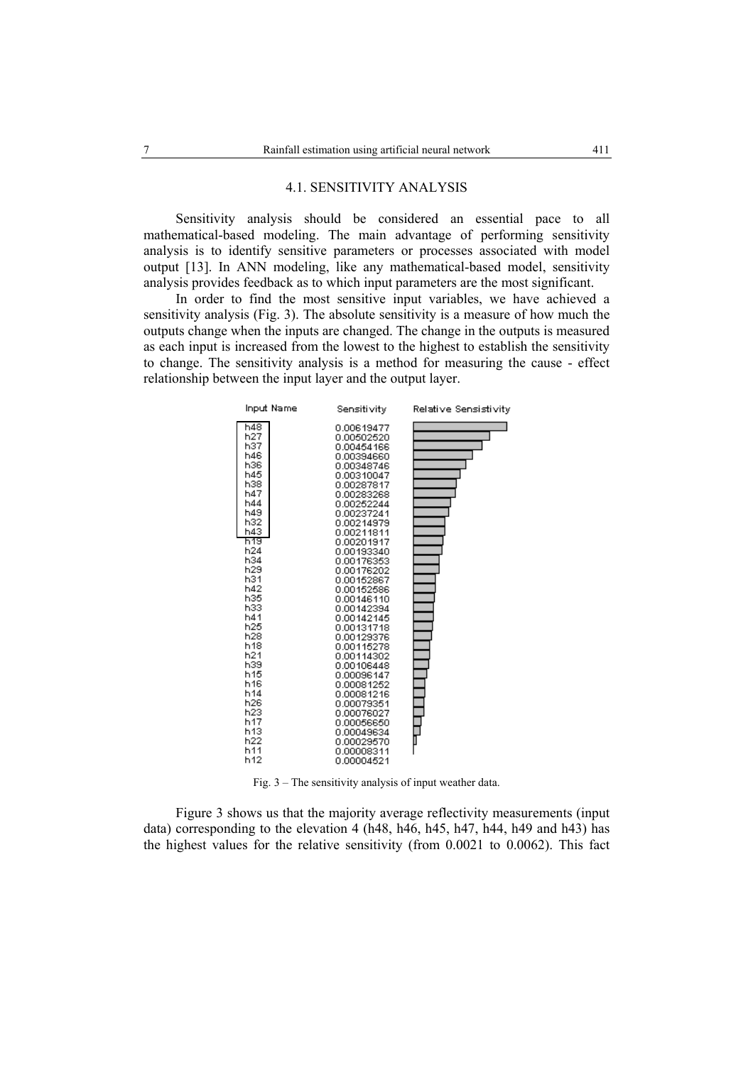### 4.1. SENSITIVITY ANALYSIS

Sensitivity analysis should be considered an essential pace to all mathematical-based modeling. The main advantage of performing sensitivity analysis is to identify sensitive parameters or processes associated with model output [13]. In ANN modeling, like any mathematical-based model, sensitivity analysis provides feedback as to which input parameters are the most significant.

In order to find the most sensitive input variables, we have achieved a sensitivity analysis (Fig. 3). The absolute sensitivity is a measure of how much the outputs change when the inputs are changed. The change in the outputs is measured as each input is increased from the lowest to the highest to establish the sensitivity to change. The sensitivity analysis is a method for measuring the cause - effect relationship between the input layer and the output layer.



Fig. 3 – The sensitivity analysis of input weather data.

Figure 3 shows us that the majority average reflectivity measurements (input data) corresponding to the elevation 4 (h48, h46, h45, h47, h44, h49 and h43) has the highest values for the relative sensitivity (from 0.0021 to 0.0062). This fact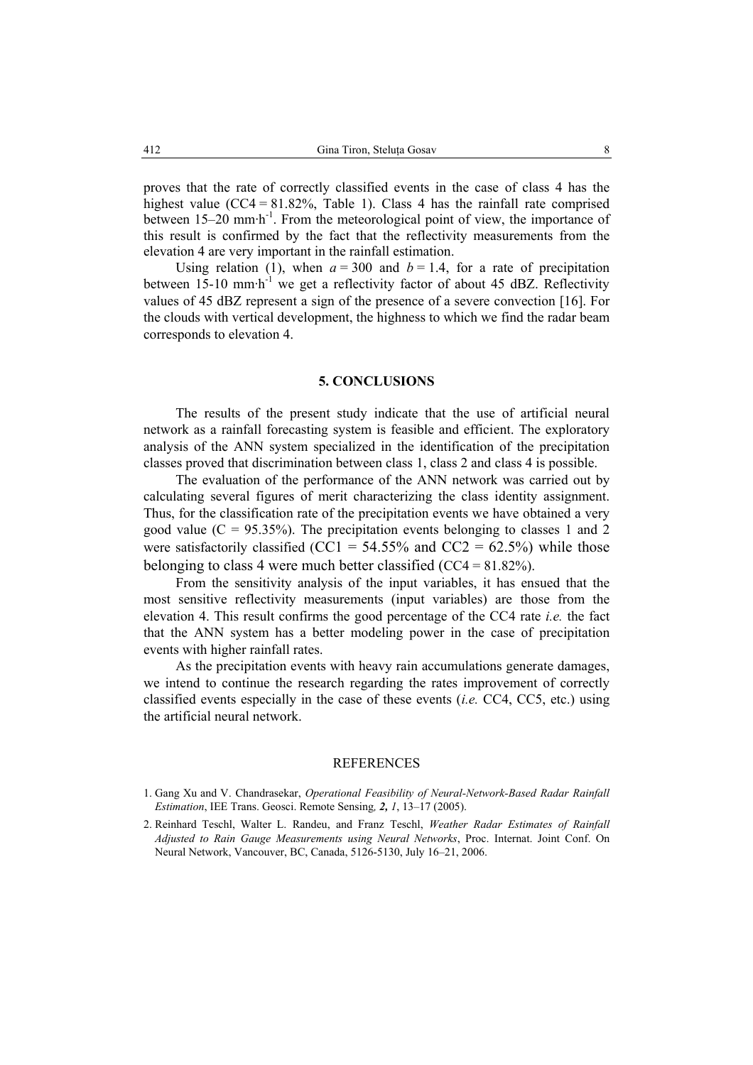proves that the rate of correctly classified events in the case of class 4 has the highest value  $(CC4 = 81.82\%$ , Table 1). Class 4 has the rainfall rate comprised between  $15-20$  mm·h<sup>-1</sup>. From the meteorological point of view, the importance of this result is confirmed by the fact that the reflectivity measurements from the elevation 4 are very important in the rainfall estimation.

Using relation (1), when  $a = 300$  and  $b = 1.4$ , for a rate of precipitation between  $15{\text -}10$  mm·h<sup>-1</sup> we get a reflectivity factor of about 45 dBZ. Reflectivity values of 45 dBZ represent a sign of the presence of a severe convection [16]. For the clouds with vertical development, the highness to which we find the radar beam corresponds to elevation 4.

# **5. CONCLUSIONS**

The results of the present study indicate that the use of artificial neural network as a rainfall forecasting system is feasible and efficient. The exploratory analysis of the ANN system specialized in the identification of the precipitation classes proved that discrimination between class 1, class 2 and class 4 is possible.

The evaluation of the performance of the ANN network was carried out by calculating several figures of merit characterizing the class identity assignment. Thus, for the classification rate of the precipitation events we have obtained a very good value  $(C = 95.35\%)$ . The precipitation events belonging to classes 1 and 2 were satisfactorily classified (CC1 =  $54.55\%$  and CC2 =  $62.5\%$ ) while those belonging to class 4 were much better classified (CC4 = 81.82%).

From the sensitivity analysis of the input variables, it has ensued that the most sensitive reflectivity measurements (input variables) are those from the elevation 4. This result confirms the good percentage of the CC4 rate *i.e.* the fact that the ANN system has a better modeling power in the case of precipitation events with higher rainfall rates.

As the precipitation events with heavy rain accumulations generate damages, we intend to continue the research regarding the rates improvement of correctly classified events especially in the case of these events (*i.e.* CC4, CC5, etc.) using the artificial neural network.

### REFERENCES

- 1. Gang Xu and V. Chandrasekar, *Operational Feasibility of Neural-Network-Based Radar Rainfall Estimation*, IEE Trans. Geosci. Remote Sensing*, 2, 1*, 13–17 (2005).
- 2. Reinhard Teschl, Walter L. Randeu, and Franz Teschl, *Weather Radar Estimates of Rainfall Adjusted to Rain Gauge Measurements using Neural Networks*, Proc. Internat. Joint Conf. On Neural Network, Vancouver, BC, Canada, 5126-5130, July 16–21, 2006.